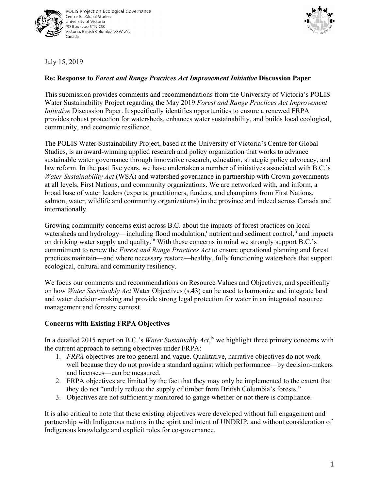



July 15, 2019

## **Re: Response to** *Forest and Range Practices Act Improvement Initiative* **Discussion Paper**

This submission provides comments and recommendations from the University of Victoria's POLIS Water Sustainability Project regarding the May 2019 *Forest and Range Practices Act Improvement Initiative* Discussion Paper. It specifically identifies opportunities to ensure a renewed FRPA provides robust protection for watersheds, enhances water sustainability, and builds local ecological, community, and economic resilience.

The POLIS Water Sustainability Project, based at the University of Victoria's Centre for Global Studies, is an award-winning applied research and policy organization that works to advance sustainable water governance through innovative research, education, strategic policy advocacy, and law reform. In the past five years, we have undertaken a number of initiatives associated with B.C.'s *Water Sustainability Act* (WSA) and watershed governance in partnership with Crown governments at all levels, First Nations, and community organizations. We are networked with, and inform, a broad base of water leaders (experts, practitioners, funders, and champions from First Nations, salmon, water, wildlife and community organizations) in the province and indeed across Canada and internationally.

Growing community concerns exist across B.C. about the impacts of forest practices on local watersheds and hydrology—including flood modulation,<sup>i</sup> nutrient and sediment control,<sup>ii</sup> and impacts on drinking water supply and quality.<sup>iii</sup> With these concerns in mind we strongly support B.C.'s commitment to renew the *Forest and Range Practices Act* to ensure operational planning and forest practices maintain—and where necessary restore—healthy, fully functioning watersheds that support ecological, cultural and community resiliency.

We focus our comments and recommendations on Resource Values and Objectives, and specifically on how *Water Sustainably Act* Water Objectives (s.43) can be used to harmonize and integrate land and water decision-making and provide strong legal protection for water in an integrated resource management and forestry context.

## **Concerns with Existing FRPA Objectives**

In a detailed 2015 report on B.C.'s *Water Sustainably Act*,<sup>iv</sup> we highlight three primary concerns with the current approach to setting objectives under FRPA:

- 1. *FRPA* objectives are too general and vague. Qualitative, narrative objectives do not work well because they do not provide a standard against which performance—by decision-makers and licensees—can be measured.
- 2. FRPA objectives are limited by the fact that they may only be implemented to the extent that they do not "unduly reduce the supply of timber from British Columbia's forests."
- 3. Objectives are not sufficiently monitored to gauge whether or not there is compliance.

It is also critical to note that these existing objectives were developed without full engagement and partnership with Indigenous nations in the spirit and intent of UNDRIP, and without consideration of Indigenous knowledge and explicit roles for co-governance.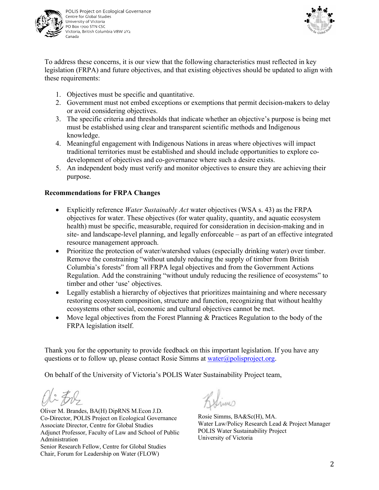

POLIS Project on Ecological Governance Centre for Global Studies University of Victoria PO Box 1700 STN CSC Victoria, British Columbia V8W 2Y2 Canada



To address these concerns, it is our view that the following characteristics must reflected in key legislation (FRPA) and future objectives, and that existing objectives should be updated to align with these requirements:

- 1. Objectives must be specific and quantitative.
- 2. Government must not embed exceptions or exemptions that permit decision-makers to delay or avoid considering objectives.
- 3. The specific criteria and thresholds that indicate whether an objective's purpose is being met must be established using clear and transparent scientific methods and Indigenous knowledge.
- 4. Meaningful engagement with Indigenous Nations in areas where objectives will impact traditional territories must be established and should include opportunities to explore codevelopment of objectives and co-governance where such a desire exists.
- 5. An independent body must verify and monitor objectives to ensure they are achieving their purpose.

## **Recommendations for FRPA Changes**

- Explicitly reference *Water Sustainably Act* water objectives (WSA s. 43) as the FRPA objectives for water. These objectives (for water quality, quantity, and aquatic ecosystem health) must be specific, measurable, required for consideration in decision-making and in site- and landscape-level planning, and legally enforceable – as part of an effective integrated resource management approach.
- Prioritize the protection of water/watershed values (especially drinking water) over timber. Remove the constraining "without unduly reducing the supply of timber from British Columbia's forests" from all FRPA legal objectives and from the Government Actions Regulation. Add the constraining "without unduly reducing the resilience of ecosystems" to timber and other 'use' objectives.
- Legally establish a hierarchy of objectives that prioritizes maintaining and where necessary restoring ecosystem composition, structure and function, recognizing that without healthy ecosystems other social, economic and cultural objectives cannot be met.
- Move legal objectives from the Forest Planning & Practices Regulation to the body of the FRPA legislation itself.

Thank you for the opportunity to provide feedback on this important legislation. If you have any questions or to follow up, please contact Rosie Simms at water $\omega$  polisproject.org.

On behalf of the University of Victoria's POLIS Water Sustainability Project team,

Oli Ere

Oliver M. Brandes, BA(H) DipRNS M.Econ J.D. Co-Director, POLIS Project on Ecological Governance Associate Director, Centre for Global Studies Adjunct Professor, Faculty of Law and School of Public Administration Senior Research Fellow, Centre for Global Studies Chair, Forum for Leadership on Water (FLOW)

Livino

Rosie Simms, BA&Sc(H), MA. Water Law/Policy Research Lead & Project Manager POLIS Water Sustainability Project University of Victoria